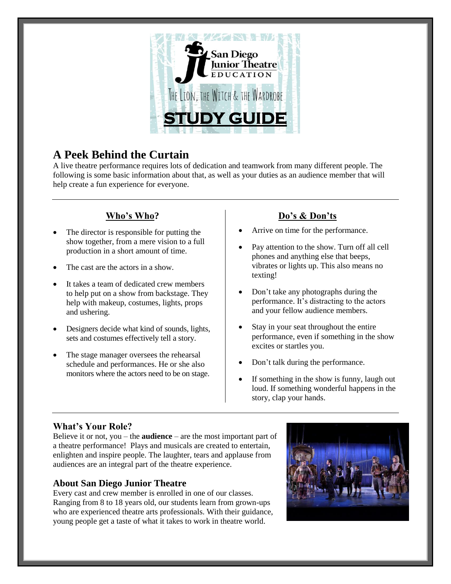

# **A Peek Behind the Curtain**

A live theatre performance requires lots of dedication and teamwork from many different people. The following is some basic information about that, as well as your duties as an audience member that will help create a fun experience for everyone.

## **Who's Who?**

- The director is responsible for putting the show together, from a mere vision to a full production in a short amount of time.
- The cast are the actors in a show.
- It takes a team of dedicated crew members to help put on a show from backstage. They help with makeup, costumes, lights, props and ushering.
- Designers decide what kind of sounds, lights, sets and costumes effectively tell a story.
- The stage manager oversees the rehearsal schedule and performances. He or she also monitors where the actors need to be on stage.

## **Do's & Don'ts**

- Arrive on time for the performance.
- Pay attention to the show. Turn off all cell phones and anything else that beeps, vibrates or lights up. This also means no texting!
- Don't take any photographs during the performance. It's distracting to the actors and your fellow audience members.
- Stay in your seat throughout the entire performance, even if something in the show excites or startles you.
- Don't talk during the performance.
- If something in the show is funny, laugh out loud. If something wonderful happens in the story, clap your hands.

### **What's Your Role?**

Believe it or not, you – the **audience** – are the most important part of a theatre performance! Plays and musicals are created to entertain, enlighten and inspire people. The laughter, tears and applause from audiences are an integral part of the theatre experience.

### **About San Diego Junior Theatre**

Every cast and crew member is enrolled in one of our classes. Ranging from 8 to 18 years old, our students learn from grown-ups who are experienced theatre arts professionals. With their guidance, young people get a taste of what it takes to work in theatre world.